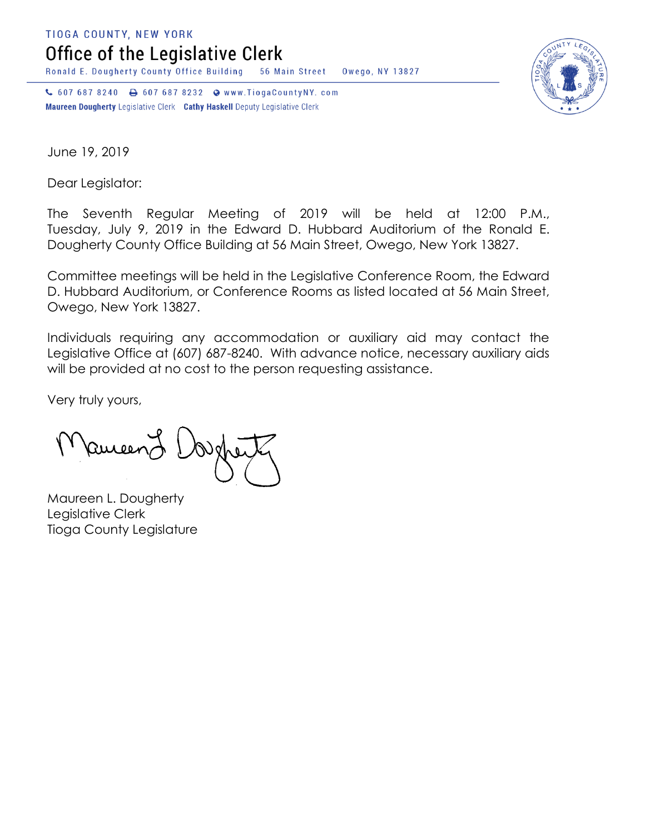**TIOGA COUNTY, NEW YORK** 

Office of the Legislative Clerk

Ronald E. Dougherty County Office Building 56 Main Street Owego, NY 13827

↓ 607 687 8240 → 607 687 8232 → www.TiogaCountyNY.com Maureen Dougherty Legislative Clerk Cathy Haskell Deputy Legislative Clerk



June 19, 2019

Dear Legislator:

The Seventh Regular Meeting of 2019 will be held at 12:00 P.M., Tuesday, July 9, 2019 in the Edward D. Hubbard Auditorium of the Ronald E. Dougherty County Office Building at 56 Main Street, Owego, New York 13827.

Committee meetings will be held in the Legislative Conference Room, the Edward D. Hubbard Auditorium, or Conference Rooms as listed located at 56 Main Street, Owego, New York 13827.

Individuals requiring any accommodation or auxiliary aid may contact the Legislative Office at (607) 687-8240. With advance notice, necessary auxiliary aids will be provided at no cost to the person requesting assistance.

Very truly yours,

Ruicen

Maureen L. Dougherty Legislative Clerk Tioga County Legislature